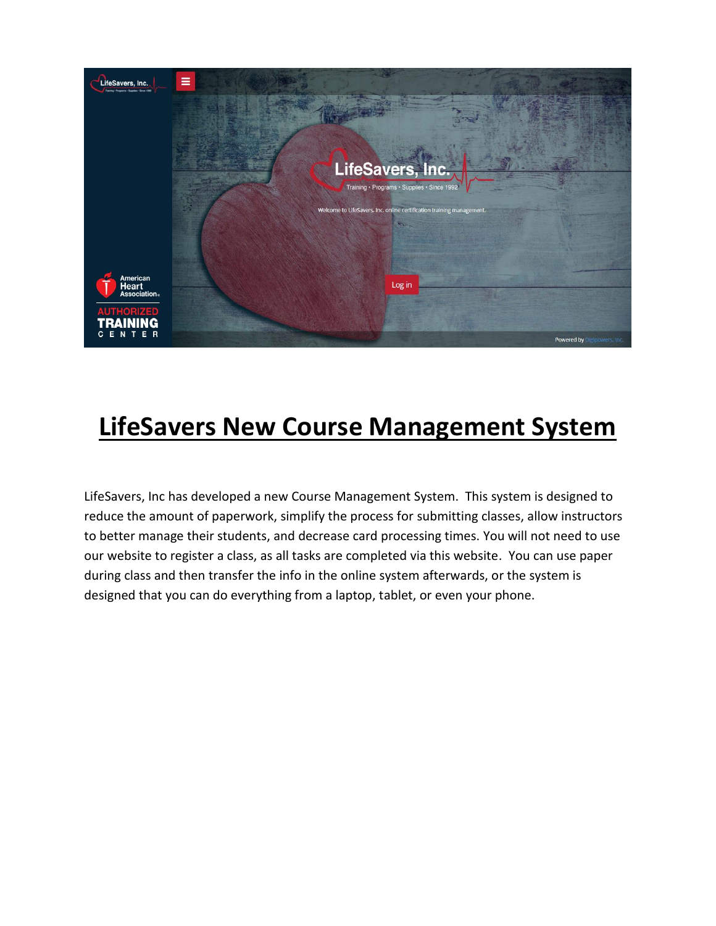

# **LifeSavers New Course Management System**

LifeSavers, Inc has developed a new Course Management System. This system is designed to reduce the amount of paperwork, simplify the process for submitting classes, allow instructors to better manage their students, and decrease card processing times. You will not need to use our website to register a class, as all tasks are completed via this website. You can use paper during class and then transfer the info in the online system afterwards, or the system is designed that you can do everything from a laptop, tablet, or even your phone.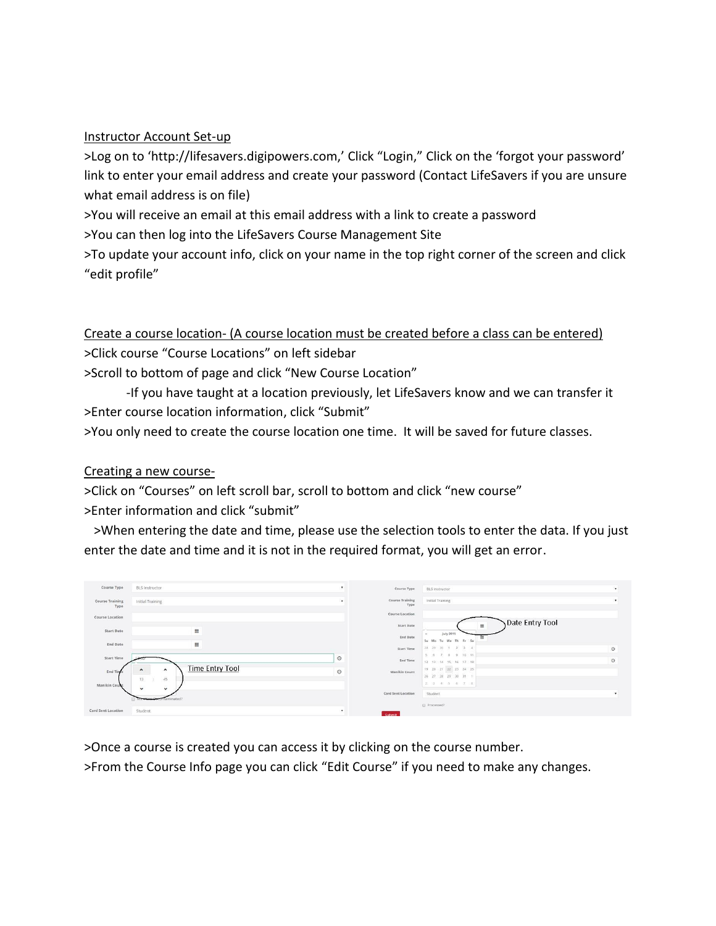#### Instructor Account Set-up

>Log on to 'http://lifesavers.digipowers.com,' Click "Login," Click on the 'forgot your password' link to enter your email address and create your password (Contact LifeSavers if you are unsure what email address is on file)

>You will receive an email at this email address with a link to create a password

>You can then log into the LifeSavers Course Management Site

>To update your account info, click on your name in the top right corner of the screen and click "edit profile"

Create a course location- (A course location must be created before a class can be entered) >Click course "Course Locations" on left sidebar >Scroll to bottom of page and click "New Course Location"

-If you have taught at a location previously, let LifeSavers know and we can transfer it >Enter course location information, click "Submit"

>You only need to create the course location one time. It will be saved for future classes.

#### Creating a new course-

>Click on "Courses" on left scroll bar, scroll to bottom and click "new course" >Enter information and click "submit"

 >When entering the date and time, please use the selection tools to enter the data. If you just enter the date and time and it is not in the required format, you will get an error.

| Course Type                    | <b>BLS Instructor</b>                                                              | ٠       | Course Type                    | <b>BLS Instructor</b>                    | ٠       |
|--------------------------------|------------------------------------------------------------------------------------|---------|--------------------------------|------------------------------------------|---------|
| <b>Course Training</b><br>Type | Initial Training                                                                   |         | <b>Course Training</b><br>Type | Initial Training                         |         |
| Course Location                |                                                                                    |         | Course Location                |                                          |         |
|                                |                                                                                    |         | Start Date                     | Date Entry Tool                          |         |
| Start Date                     | Ш                                                                                  |         | End Date                       | <b>July 2015</b><br>$\sim$<br>田          |         |
| End Date                       | !!!                                                                                |         | Start Time                     | Su Mo Tu We Th Fr Sa<br>28 29 30 1 2 3 4 | $\odot$ |
|                                |                                                                                    |         |                                |                                          |         |
| Start Time                     |                                                                                    | $\odot$ | End Time                       | 5 6 7 8 9 10 11<br>12 13 14 15 16 17 18  | $\circ$ |
| End Time                       | <b>Time Entry Tool</b><br>$\hat{\phantom{a}}$<br>$\sim$<br>$\bar{4} \bar{5}$<br>13 | $\odot$ | Manikin Count                  | 19 20 21 22 23 24 25                     |         |
|                                |                                                                                    |         |                                | 26 27 28 29 30 31 1                      |         |
| Manikin Count                  | $\check{~}$<br>$\checkmark$                                                        |         |                                | 2 3 4 5 6 7 8                            |         |
|                                |                                                                                    |         | Card Sent Location             | Student                                  | ٠       |
|                                | inated?                                                                            |         |                                | Processed?                               |         |
| Card Sent Location             | Student                                                                            |         | Submit                         |                                          |         |
|                                |                                                                                    |         |                                |                                          |         |

>Once a course is created you can access it by clicking on the course number.

>From the Course Info page you can click "Edit Course" if you need to make any changes.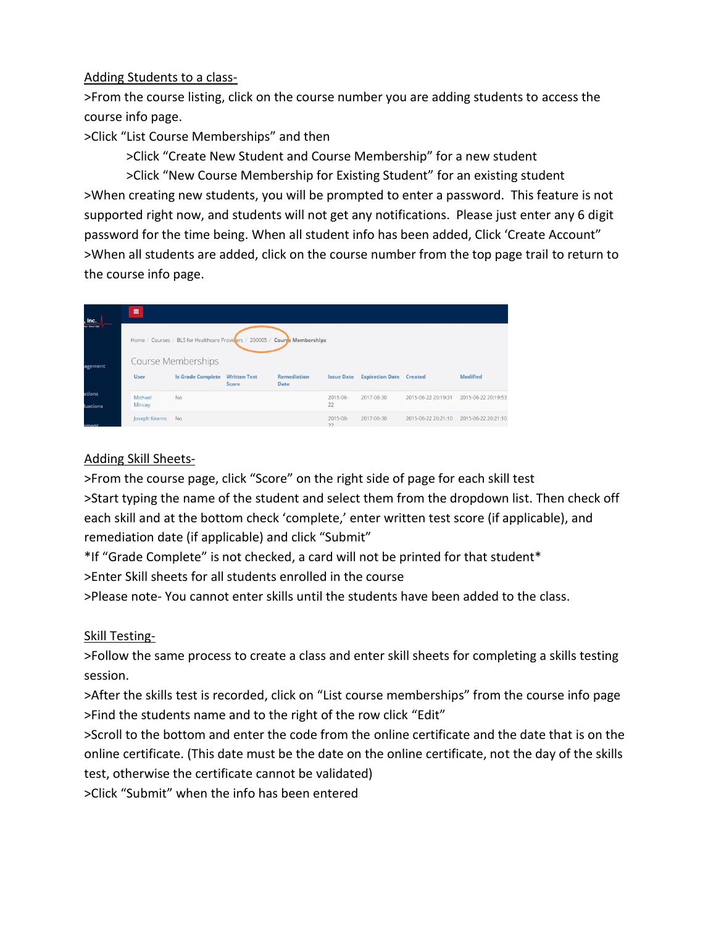### Adding Students to a class-

>From the course listing, click on the course number you are adding students to access the course info page.

>Click "List Course Memberships" and then

>Click "Create New Student and Course Membership" for a new student

>Click "New Course Membership for Existing Student" for an existing student >When creating new students, you will be prompted to enter a password. This feature is not supported right now, and students will not get any notifications. Please just enter any 6 digit password for the time being. When all student info has been added, Click 'Create Account" >When all students are added, click on the course number from the top page trail to return to the course info page.

| $,$ Inc.<br>e-Sroving | Ξ                  |                                                                             |                              |                                   |                   |                                |                     |                     |  |  |
|-----------------------|--------------------|-----------------------------------------------------------------------------|------------------------------|-----------------------------------|-------------------|--------------------------------|---------------------|---------------------|--|--|
|                       |                    | Home / Courses / BLS for Healthcare Providers / 200005 / Course Memberships |                              |                                   |                   |                                |                     |                     |  |  |
| agement               | Course Memberships |                                                                             |                              |                                   |                   |                                |                     |                     |  |  |
|                       | <b>User</b>        | <b>Is Grade Complete</b>                                                    | <b>Written Test</b><br>Score | <b>Remediation</b><br><b>Date</b> | <b>Issue Date</b> | <b>Expiration Date</b> Created |                     | Modified            |  |  |
| ations                | Michael            | No                                                                          |                              |                                   | 2015-06-          | 2017-06-30                     | 2015-06-22 20:19:31 | 2015-06-22 20:19:53 |  |  |
| luations              | Mincey             |                                                                             |                              |                                   | 22                |                                |                     |                     |  |  |
| ament                 | Joseph Kearns      | No.                                                                         |                              |                                   | 2015-06-<br>22    | 2017-06-30                     | 2015-06-22 20:21:10 | 2015-06-22 20:21:10 |  |  |

## Adding Skill Sheets-

>From the course page, click "Score" on the right side of page for each skill test >Start typing the name of the student and select them from the dropdown list. Then check off each skill and at the bottom check 'complete,' enter written test score (if applicable), and remediation date (if applicable) and click "Submit"

\*If "Grade Complete" is not checked, a card will not be printed for that student\* >Enter Skill sheets for all students enrolled in the course

>Please note- You cannot enter skills until the students have been added to the class.

## Skill Testing-

>Follow the same process to create a class and enter skill sheets for completing a skills testing session.

>After the skills test is recorded, click on "List course memberships" from the course info page >Find the students name and to the right of the row click "Edit"

>Scroll to the bottom and enter the code from the online certificate and the date that is on the online certificate. (This date must be the date on the online certificate, not the day of the skills test, otherwise the certificate cannot be validated)

>Click "Submit" when the info has been entered